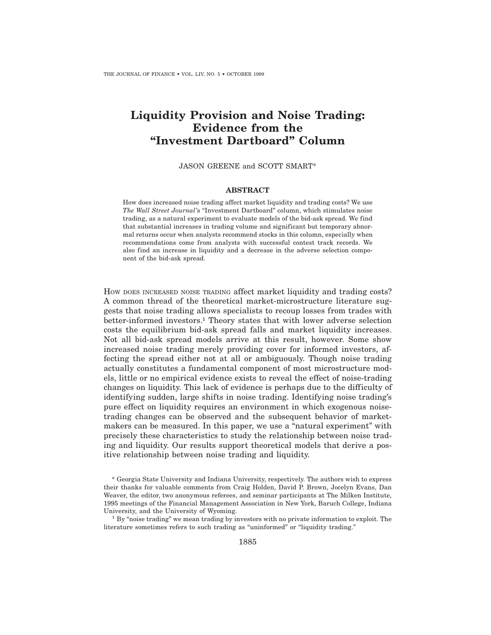# **Liquidity Provision and Noise Trading: Evidence from the "Investment Dartboard" Column**

JASON GREENE and SCOTT SMART\*

### **ABSTRACT**

How does increased noise trading affect market liquidity and trading costs? We use *The Wall Street Journal*'s "Investment Dartboard" column, which stimulates noise trading, as a natural experiment to evaluate models of the bid-ask spread. We find that substantial increases in trading volume and significant but temporary abnormal returns occur when analysts recommend stocks in this column, especially when recommendations come from analysts with successful contest track records. We also find an increase in liquidity and a decrease in the adverse selection component of the bid-ask spread.

HOW DOES INCREASED NOISE TRADING affect market liquidity and trading costs? A common thread of the theoretical market-microstructure literature suggests that noise trading allows specialists to recoup losses from trades with better-informed investors.1 Theory states that with lower adverse selection costs the equilibrium bid-ask spread falls and market liquidity increases. Not all bid-ask spread models arrive at this result, however. Some show increased noise trading merely providing cover for informed investors, affecting the spread either not at all or ambiguously. Though noise trading actually constitutes a fundamental component of most microstructure models, little or no empirical evidence exists to reveal the effect of noise-trading changes on liquidity. This lack of evidence is perhaps due to the difficulty of identifying sudden, large shifts in noise trading. Identifying noise trading's pure effect on liquidity requires an environment in which exogenous noisetrading changes can be observed and the subsequent behavior of marketmakers can be measured. In this paper, we use a "natural experiment" with precisely these characteristics to study the relationship between noise trading and liquidity. Our results support theoretical models that derive a positive relationship between noise trading and liquidity.

\* Georgia State University and Indiana University, respectively. The authors wish to express their thanks for valuable comments from Craig Holden, David P. Brown, Jocelyn Evans, Dan Weaver, the editor, two anonymous referees, and seminar participants at The Milken Institute, 1995 meetings of the Financial Management Association in New York, Baruch College, Indiana University, and the University of Wyoming.

 $1\,\text{By }$  "noise trading" we mean trading by investors with no private information to exploit. The literature sometimes refers to such trading as "uninformed" or "liquidity trading."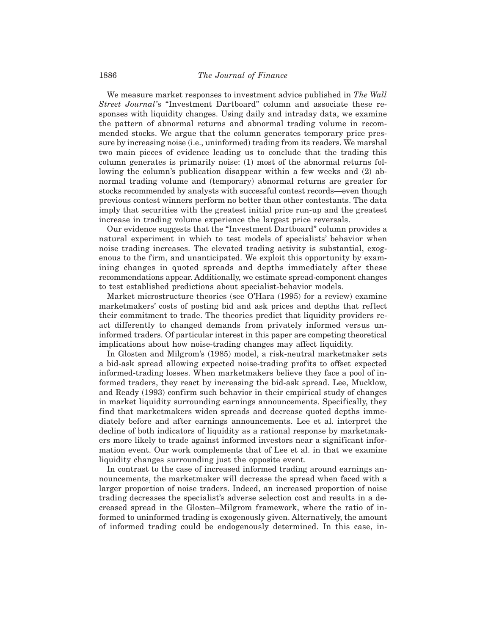We measure market responses to investment advice published in *The Wall Street Journal*'s "Investment Dartboard" column and associate these responses with liquidity changes. Using daily and intraday data, we examine the pattern of abnormal returns and abnormal trading volume in recommended stocks. We argue that the column generates temporary price pressure by increasing noise (i.e., uninformed) trading from its readers. We marshal two main pieces of evidence leading us to conclude that the trading this column generates is primarily noise:  $(1)$  most of the abnormal returns following the column's publication disappear within a few weeks and  $(2)$  abnormal trading volume and (temporary) abnormal returns are greater for stocks recommended by analysts with successful contest records—even though previous contest winners perform no better than other contestants. The data imply that securities with the greatest initial price run-up and the greatest increase in trading volume experience the largest price reversals.

Our evidence suggests that the "Investment Dartboard" column provides a natural experiment in which to test models of specialists' behavior when noise trading increases. The elevated trading activity is substantial, exogenous to the firm, and unanticipated. We exploit this opportunity by examining changes in quoted spreads and depths immediately after these recommendations appear. Additionally, we estimate spread-component changes to test established predictions about specialist-behavior models.

Market microstructure theories (see O'Hara  $(1995)$  for a review) examine marketmakers' costs of posting bid and ask prices and depths that reflect their commitment to trade. The theories predict that liquidity providers react differently to changed demands from privately informed versus uninformed traders. Of particular interest in this paper are competing theoretical implications about how noise-trading changes may affect liquidity.

In Glosten and Milgrom's  $(1985)$  model, a risk-neutral marketmaker sets a bid-ask spread allowing expected noise-trading profits to offset expected informed-trading losses. When marketmakers believe they face a pool of informed traders, they react by increasing the bid-ask spread. Lee, Mucklow, and Ready (1993) confirm such behavior in their empirical study of changes in market liquidity surrounding earnings announcements. Specifically, they find that marketmakers widen spreads and decrease quoted depths immediately before and after earnings announcements. Lee et al. interpret the decline of both indicators of liquidity as a rational response by marketmakers more likely to trade against informed investors near a significant information event. Our work complements that of Lee et al. in that we examine liquidity changes surrounding just the opposite event.

In contrast to the case of increased informed trading around earnings announcements, the marketmaker will decrease the spread when faced with a larger proportion of noise traders. Indeed, an increased proportion of noise trading decreases the specialist's adverse selection cost and results in a decreased spread in the Glosten–Milgrom framework, where the ratio of informed to uninformed trading is exogenously given. Alternatively, the amount of informed trading could be endogenously determined. In this case, in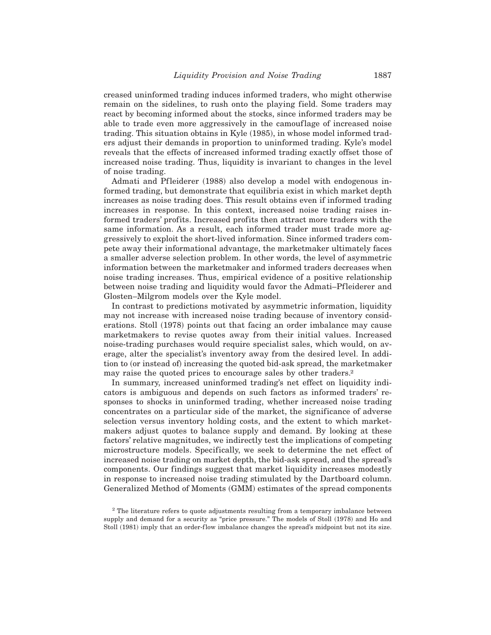creased uninformed trading induces informed traders, who might otherwise remain on the sidelines, to rush onto the playing field. Some traders may react by becoming informed about the stocks, since informed traders may be able to trade even more aggressively in the camouflage of increased noise trading. This situation obtains in Kyle (1985), in whose model informed traders adjust their demands in proportion to uninformed trading. Kyle's model reveals that the effects of increased informed trading exactly offset those of increased noise trading. Thus, liquidity is invariant to changes in the level of noise trading.

Admati and Pfleiderer (1988) also develop a model with endogenous informed trading, but demonstrate that equilibria exist in which market depth increases as noise trading does. This result obtains even if informed trading increases in response. In this context, increased noise trading raises informed traders' profits. Increased profits then attract more traders with the same information. As a result, each informed trader must trade more aggressively to exploit the short-lived information. Since informed traders compete away their informational advantage, the marketmaker ultimately faces a smaller adverse selection problem. In other words, the level of asymmetric information between the marketmaker and informed traders decreases when noise trading increases. Thus, empirical evidence of a positive relationship between noise trading and liquidity would favor the Admati–Pfleiderer and Glosten–Milgrom models over the Kyle model.

In contrast to predictions motivated by asymmetric information, liquidity may not increase with increased noise trading because of inventory considerations. Stoll (1978) points out that facing an order imbalance may cause marketmakers to revise quotes away from their initial values. Increased noise-trading purchases would require specialist sales, which would, on average, alter the specialist's inventory away from the desired level. In addition to (or instead of) increasing the quoted bid-ask spread, the marketmaker may raise the quoted prices to encourage sales by other traders.2

In summary, increased uninformed trading's net effect on liquidity indicators is ambiguous and depends on such factors as informed traders' responses to shocks in uninformed trading, whether increased noise trading concentrates on a particular side of the market, the significance of adverse selection versus inventory holding costs, and the extent to which marketmakers adjust quotes to balance supply and demand. By looking at these factors' relative magnitudes, we indirectly test the implications of competing microstructure models. Specifically, we seek to determine the net effect of increased noise trading on market depth, the bid-ask spread, and the spread's components. Our findings suggest that market liquidity increases modestly in response to increased noise trading stimulated by the Dartboard column. Generalized Method of Moments (GMM) estimates of the spread components

<sup>&</sup>lt;sup>2</sup> The literature refers to quote adjustments resulting from a temporary imbalance between supply and demand for a security as "price pressure." The models of Stoll (1978) and Ho and Stoll (1981) imply that an order-flow imbalance changes the spread's midpoint but not its size.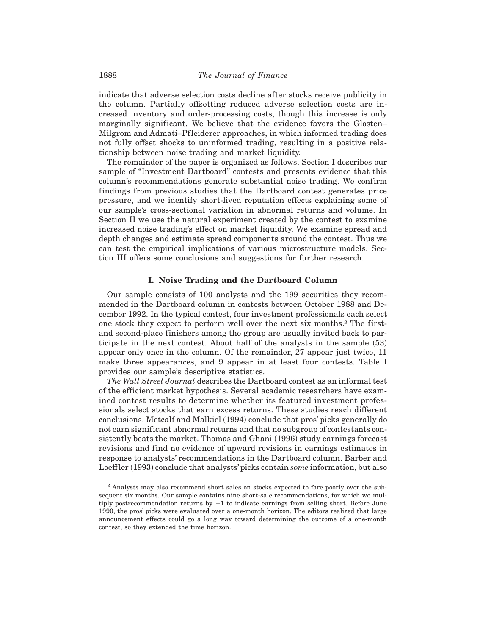indicate that adverse selection costs decline after stocks receive publicity in the column. Partially offsetting reduced adverse selection costs are increased inventory and order-processing costs, though this increase is only marginally significant. We believe that the evidence favors the Glosten– Milgrom and Admati–Pfleiderer approaches, in which informed trading does not fully offset shocks to uninformed trading, resulting in a positive relationship between noise trading and market liquidity.

The remainder of the paper is organized as follows. Section I describes our sample of "Investment Dartboard" contests and presents evidence that this column's recommendations generate substantial noise trading. We confirm findings from previous studies that the Dartboard contest generates price pressure, and we identify short-lived reputation effects explaining some of our sample's cross-sectional variation in abnormal returns and volume. In Section II we use the natural experiment created by the contest to examine increased noise trading's effect on market liquidity. We examine spread and depth changes and estimate spread components around the contest. Thus we can test the empirical implications of various microstructure models. Section III offers some conclusions and suggestions for further research.

## **I. Noise Trading and the Dartboard Column**

Our sample consists of 100 analysts and the 199 securities they recommended in the Dartboard column in contests between October 1988 and December 1992. In the typical contest, four investment professionals each select one stock they expect to perform well over the next six months.3 The firstand second-place finishers among the group are usually invited back to participate in the next contest. About half of the analysts in the sample  $(53)$ appear only once in the column. Of the remainder, 27 appear just twice, 11 make three appearances, and 9 appear in at least four contests. Table I provides our sample's descriptive statistics.

*The Wall Street Journal* describes the Dartboard contest as an informal test of the efficient market hypothesis. Several academic researchers have examined contest results to determine whether its featured investment professionals select stocks that earn excess returns. These studies reach different conclusions. Metcalf and Malkiel ~1994! conclude that pros' picks generally do not earn significant abnormal returns and that no subgroup of contestants consistently beats the market. Thomas and Ghani  $(1996)$  study earnings forecast revisions and find no evidence of upward revisions in earnings estimates in response to analysts' recommendations in the Dartboard column. Barber and Loeffler (1993) conclude that analysts' picks contain *some* information, but also

<sup>3</sup> Analysts may also recommend short sales on stocks expected to fare poorly over the subsequent six months. Our sample contains nine short-sale recommendations, for which we multiply postrecommendation returns by  $-1$  to indicate earnings from selling short. Before June 1990, the pros' picks were evaluated over a one-month horizon. The editors realized that large announcement effects could go a long way toward determining the outcome of a one-month contest, so they extended the time horizon.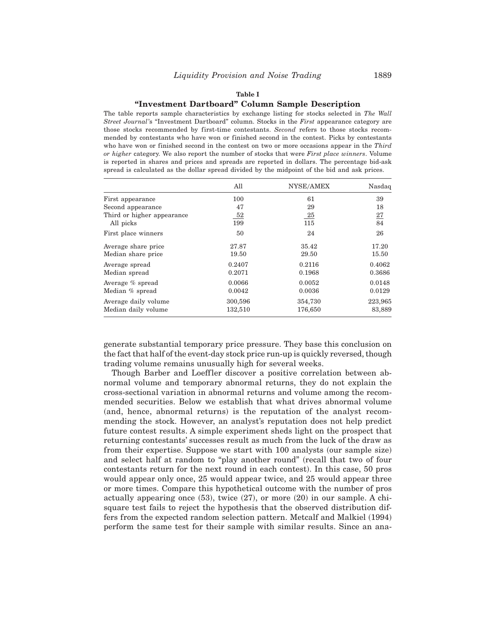#### **Table I**

## **"Investment Dartboard" Column Sample Description**

The table reports sample characteristics by exchange listing for stocks selected in *The Wall Street Journal*'s "Investment Dartboard" column. Stocks in the *First* appearance category are those stocks recommended by first-time contestants. *Second* refers to those stocks recommended by contestants who have won or finished second in the contest. Picks by contestants who have won or finished second in the contest on two or more occasions appear in the *Third or higher* category. We also report the number of stocks that were *First place winners*. Volume is reported in shares and prices and spreads are reported in dollars. The percentage bid-ask spread is calculated as the dollar spread divided by the midpoint of the bid and ask prices.

|                            | All     | NYSE/AMEX | Nasdaq          |
|----------------------------|---------|-----------|-----------------|
| First appearance           | 100     | 61        | 39              |
| Second appearance          | 47      | 29        | 18              |
| Third or higher appearance | 52      | 25        | $\frac{27}{84}$ |
| All picks                  | 199     | 115       |                 |
| First place winners        | 50      | 24        | 26              |
| Average share price        | 27.87   | 35.42     | 17.20           |
| Median share price         | 19.50   | 29.50     | 15.50           |
| Average spread             | 0.2407  | 0.2116    | 0.4062          |
| Median spread              | 0.2071  | 0.1968    | 0.3686          |
| Average % spread           | 0.0066  | 0.0052    | 0.0148          |
| Median % spread            | 0.0042  | 0.0036    | 0.0129          |
| Average daily volume       | 300,596 | 354,730   | 223,965         |
| Median daily volume        | 132,510 | 176,650   | 83,889          |

generate substantial temporary price pressure. They base this conclusion on the fact that half of the event-day stock price run-up is quickly reversed, though trading volume remains unusually high for several weeks.

Though Barber and Loeffler discover a positive correlation between abnormal volume and temporary abnormal returns, they do not explain the cross-sectional variation in abnormal returns and volume among the recommended securities. Below we establish that what drives abnormal volume (and, hence, abnormal returns) is the reputation of the analyst recommending the stock. However, an analyst's reputation does not help predict future contest results. A simple experiment sheds light on the prospect that returning contestants' successes result as much from the luck of the draw as from their expertise. Suppose we start with  $100$  analysts (our sample size) and select half at random to "play another round" (recall that two of four contestants return for the next round in each contest). In this case, 50 pros would appear only once, 25 would appear twice, and 25 would appear three or more times. Compare this hypothetical outcome with the number of pros actually appearing once  $(53)$ , twice  $(27)$ , or more  $(20)$  in our sample. A chisquare test fails to reject the hypothesis that the observed distribution differs from the expected random selection pattern. Metcalf and Malkiel (1994) perform the same test for their sample with similar results. Since an ana-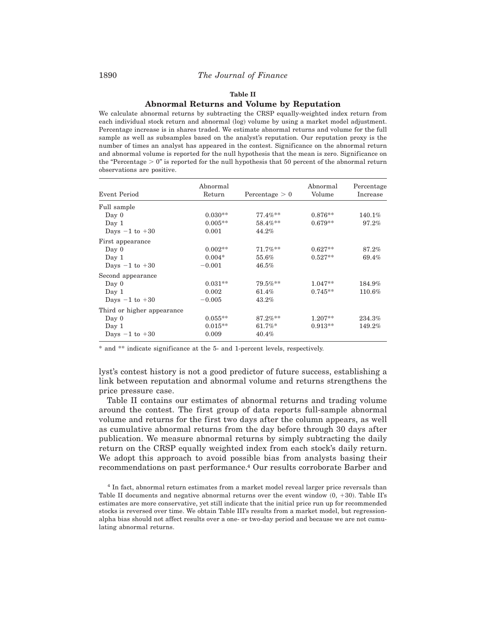#### **Table II**

#### **Abnormal Returns and Volume by Reputation**

We calculate abnormal returns by subtracting the CRSP equally-weighted index return from each individual stock return and abnormal (log) volume by using a market model adjustment. Percentage increase is in shares traded. We estimate abnormal returns and volume for the full sample as well as subsamples based on the analyst's reputation. Our reputation proxy is the number of times an analyst has appeared in the contest. Significance on the abnormal return and abnormal volume is reported for the null hypothesis that the mean is zero. Significance on the "Percentage  $> 0$ " is reported for the null hypothesis that 50 percent of the abnormal return observations are positive.

| Event Period               | Abnormal<br>Return | Percentage $>0$ | Abnormal<br>Volume | Percentage<br>Increase |
|----------------------------|--------------------|-----------------|--------------------|------------------------|
| Full sample                |                    |                 |                    |                        |
| Day 0                      | $0.030**$          | $77.4\%**$      | $0.876**$          | 140.1%                 |
| Day 1                      | $0.005**$          | $58.4\%**$      | $0.679**$          | 97.2%                  |
| Days $-1$ to $+30$         | 0.001              | 44.2%           |                    |                        |
| First appearance           |                    |                 |                    |                        |
| Day 0                      | $0.002**$          | $71.7\%**$      | $0.627**$          | 87.2%                  |
| Day 1                      | $0.004*$           | 55.6%           | $0.527**$          | 69.4%                  |
| Days $-1$ to $+30$         | $-0.001$           | $46.5\%$        |                    |                        |
| Second appearance          |                    |                 |                    |                        |
| Day 0                      | $0.031**$          | $79.5\%**$      | $1.047**$          | 184.9%                 |
| Day 1                      | 0.002              | 61.4%           | $0.745**$          | 110.6%                 |
| Days $-1$ to $+30$         | $-0.005$           | 43.2%           |                    |                        |
| Third or higher appearance |                    |                 |                    |                        |
| Day 0                      | $0.055**$          | $87.2\%**$      | $1.207**$          | 234.3%                 |
| Day 1                      | $0.015**$          | $61.7\%*$       | $0.913**$          | 149.2%                 |
| Days $-1$ to $+30$         | 0.009              | 40.4%           |                    |                        |

\* and \*\* indicate significance at the 5- and 1-percent levels, respectively.

lyst's contest history is not a good predictor of future success, establishing a link between reputation and abnormal volume and returns strengthens the price pressure case.

Table II contains our estimates of abnormal returns and trading volume around the contest. The first group of data reports full-sample abnormal volume and returns for the first two days after the column appears, as well as cumulative abnormal returns from the day before through 30 days after publication. We measure abnormal returns by simply subtracting the daily return on the CRSP equally weighted index from each stock's daily return. We adopt this approach to avoid possible bias from analysts basing their recommendations on past performance.4 Our results corroborate Barber and

<sup>4</sup> In fact, abnormal return estimates from a market model reveal larger price reversals than Table II documents and negative abnormal returns over the event window  $(0, +30)$ . Table II's estimates are more conservative, yet still indicate that the initial price run up for recommended stocks is reversed over time. We obtain Table III's results from a market model, but regressionalpha bias should not affect results over a one- or two-day period and because we are not cumulating abnormal returns.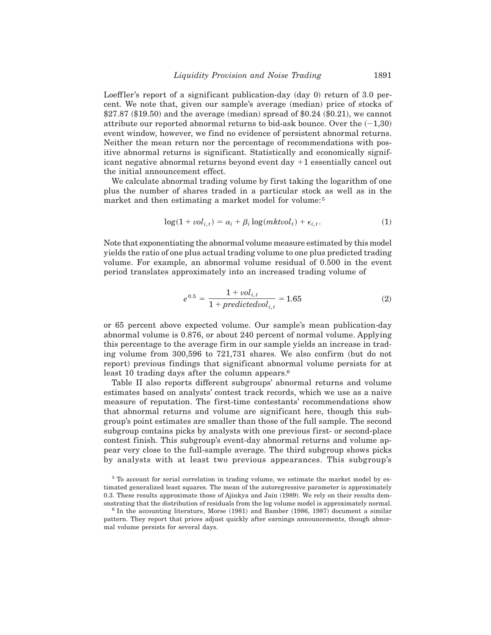Loeffler's report of a significant publication-day  $(\text{day } 0)$  return of 3.0 percent. We note that, given our sample's average (median) price of stocks of  $$27.87$  (\$19.50) and the average (median) spread of \$0.24 (\$0.21), we cannot attribute our reported abnormal returns to bid-ask bounce. Over the  $(-1,30)$ event window, however, we find no evidence of persistent abnormal returns. Neither the mean return nor the percentage of recommendations with positive abnormal returns is significant. Statistically and economically significant negative abnormal returns beyond event day  $+1$  essentially cancel out the initial announcement effect.

We calculate abnormal trading volume by first taking the logarithm of one plus the number of shares traded in a particular stock as well as in the market and then estimating a market model for volume:<sup>5</sup>

$$
\log(1 + vol_{i,t}) = \alpha_i + \beta_i \log(mktvol_t) + \epsilon_{i,t}.
$$
 (1)

Note that exponentiating the abnormal volume measure estimated by this model yields the ratio of one plus actual trading volume to one plus predicted trading volume. For example, an abnormal volume residual of 0.500 in the event period translates approximately into an increased trading volume of

$$
e^{0.5} = \frac{1 + vol_{i,t}}{1 + predictedvol_{i,t}} = 1.65
$$
 (2)

or 65 percent above expected volume. Our sample's mean publication-day abnormal volume is 0.876, or about 240 percent of normal volume. Applying this percentage to the average firm in our sample yields an increase in trading volume from  $300,596$  to  $721,731$  shares. We also confirm (but do not report) previous findings that significant abnormal volume persists for at least 10 trading days after the column appears.6

Table II also reports different subgroups' abnormal returns and volume estimates based on analysts' contest track records, which we use as a naive measure of reputation. The first-time contestants' recommendations show that abnormal returns and volume are significant here, though this subgroup's point estimates are smaller than those of the full sample. The second subgroup contains picks by analysts with one previous first- or second-place contest finish. This subgroup's event-day abnormal returns and volume appear very close to the full-sample average. The third subgroup shows picks by analysts with at least two previous appearances. This subgroup's

<sup>5</sup> To account for serial correlation in trading volume, we estimate the market model by estimated generalized least squares. The mean of the autoregressive parameter is approximately 0.3. These results approximate those of Ajinkya and Jain (1989). We rely on their results demonstrating that the distribution of residuals from the log volume model is approximately normal.

 $6$  In the accounting literature, Morse  $(1981)$  and Bamber  $(1986, 1987)$  document a similar pattern. They report that prices adjust quickly after earnings announcements, though abnormal volume persists for several days.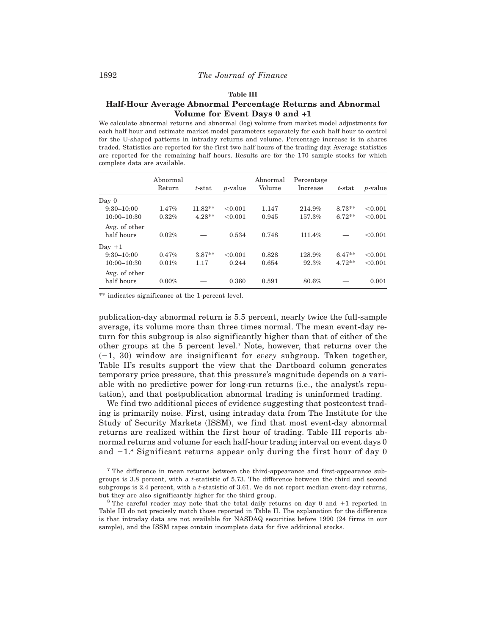#### **Table III**

# **Half-Hour Average Abnormal Percentage Returns and Abnormal Volume for Event Days 0 and +1**

We calculate abnormal returns and abnormal (log) volume from market model adjustments for each half hour and estimate market model parameters separately for each half hour to control for the U-shaped patterns in intraday returns and volume. Percentage increase is in shares traded. Statistics are reported for the first two half hours of the trading day. Average statistics are reported for the remaining half hours. Results are for the 170 sample stocks for which complete data are available.

|                             | Abnormal<br>Return | $t$ -stat | <i>p</i> -value | Abnormal<br>Volume | Percentage<br>Increase | $t$ -stat | <i>p</i> -value |
|-----------------------------|--------------------|-----------|-----------------|--------------------|------------------------|-----------|-----------------|
| Day 0                       |                    |           |                 |                    |                        |           |                 |
| $9:30-10:00$                | 1.47%              | $11.82**$ | < 0.001         | 1.147              | 214.9%                 | $8.73**$  | < 0.001         |
| $10:00 - 10:30$             | 0.32%              | $4.28**$  | < 0.001         | 0.945              | 157.3%                 | $6.72**$  | < 0.001         |
| Avg. of other<br>half hours | 0.02%              |           | 0.534           | 0.748              | 111.4%                 |           | < 0.001         |
| $Day +1$                    |                    |           |                 |                    |                        |           |                 |
| $9:30 - 10:00$              | $0.47\%$           | $3.87**$  | < 0.001         | 0.828              | 128.9%                 | $6.47**$  | < 0.001         |
| $10:00 - 10:30$             | 0.01%              | 1.17      | 0.244           | 0.654              | 92.3%                  | $4.72**$  | < 0.001         |
| Avg. of other<br>half hours | 0.00%              |           | 0.360           | 0.591              | 80.6%                  |           | 0.001           |

\*\* indicates significance at the 1-percent level.

publication-day abnormal return is 5.5 percent, nearly twice the full-sample average, its volume more than three times normal. The mean event-day return for this subgroup is also significantly higher than that of either of the other groups at the 5 percent level.7 Note, however, that returns over the  $(-1, 30)$  window are insignificant for *every* subgroup. Taken together, Table II's results support the view that the Dartboard column generates temporary price pressure, that this pressure's magnitude depends on a variable with no predictive power for long-run returns  $(i.e., the analysis repu$ tation), and that postpublication abnormal trading is uninformed trading.

We find two additional pieces of evidence suggesting that postcontest trading is primarily noise. First, using intraday data from The Institute for the Study of Security Markets (ISSM), we find that most event-day abnormal returns are realized within the first hour of trading. Table III reports abnormal returns and volume for each half-hour trading interval on event days 0 and  $+1.8$  Significant returns appear only during the first hour of day 0

<sup>7</sup> The difference in mean returns between the third-appearance and first-appearance subgroups is 3.8 percent, with a *t*-statistic of 5.73. The difference between the third and second subgroups is 2.4 percent, with a *t*-statistic of 3.61. We do not report median event-day returns, but they are also significantly higher for the third group.

 $8$  The careful reader may note that the total daily returns on day 0 and  $+1$  reported in Table III do not precisely match those reported in Table II. The explanation for the difference is that intraday data are not available for NASDAQ securities before 1990 (24 firms in our sample), and the ISSM tapes contain incomplete data for five additional stocks.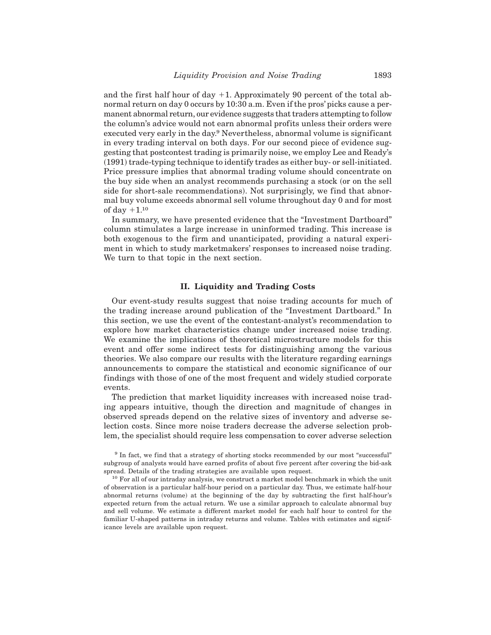and the first half hour of day  $+1$ . Approximately 90 percent of the total abnormal return on day 0 occurs by 10:30 a.m. Even if the pros' picks cause a permanent abnormal return, our evidence suggests that traders attempting to follow the column's advice would not earn abnormal profits unless their orders were executed very early in the day.9 Nevertheless, abnormal volume is significant in every trading interval on both days. For our second piece of evidence suggesting that postcontest trading is primarily noise, we employ Lee and Ready's  $(1991)$  trade-typing technique to identify trades as either buy- or sell-initiated. Price pressure implies that abnormal trading volume should concentrate on the buy side when an analyst recommends purchasing a stock (or on the sell side for short-sale recommendations). Not surprisingly, we find that abnormal buy volume exceeds abnormal sell volume throughout day 0 and for most of day  $+1.10$ 

In summary, we have presented evidence that the "Investment Dartboard" column stimulates a large increase in uninformed trading. This increase is both exogenous to the firm and unanticipated, providing a natural experiment in which to study marketmakers' responses to increased noise trading. We turn to that topic in the next section.

## **II. Liquidity and Trading Costs**

Our event-study results suggest that noise trading accounts for much of the trading increase around publication of the "Investment Dartboard." In this section, we use the event of the contestant-analyst's recommendation to explore how market characteristics change under increased noise trading. We examine the implications of theoretical microstructure models for this event and offer some indirect tests for distinguishing among the various theories. We also compare our results with the literature regarding earnings announcements to compare the statistical and economic significance of our findings with those of one of the most frequent and widely studied corporate events.

The prediction that market liquidity increases with increased noise trading appears intuitive, though the direction and magnitude of changes in observed spreads depend on the relative sizes of inventory and adverse selection costs. Since more noise traders decrease the adverse selection problem, the specialist should require less compensation to cover adverse selection

<sup>9</sup> In fact, we find that a strategy of shorting stocks recommended by our most "successful" subgroup of analysts would have earned profits of about five percent after covering the bid-ask spread. Details of the trading strategies are available upon request.

 $10$  For all of our intraday analysis, we construct a market model benchmark in which the unit of observation is a particular half-hour period on a particular day. Thus, we estimate half-hour abnormal returns (volume) at the beginning of the day by subtracting the first half-hour's expected return from the actual return. We use a similar approach to calculate abnormal buy and sell volume. We estimate a different market model for each half hour to control for the familiar U-shaped patterns in intraday returns and volume. Tables with estimates and significance levels are available upon request.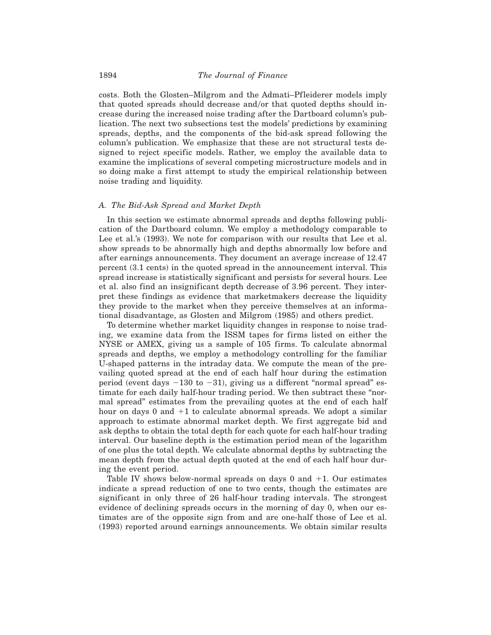costs. Both the Glosten–Milgrom and the Admati–Pfleiderer models imply that quoted spreads should decrease and/or that quoted depths should increase during the increased noise trading after the Dartboard column's publication. The next two subsections test the models' predictions by examining spreads, depths, and the components of the bid-ask spread following the column's publication. We emphasize that these are not structural tests designed to reject specific models. Rather, we employ the available data to examine the implications of several competing microstructure models and in so doing make a first attempt to study the empirical relationship between noise trading and liquidity.

## *A. The Bid-Ask Spread and Market Depth*

In this section we estimate abnormal spreads and depths following publication of the Dartboard column. We employ a methodology comparable to Lee et al.'s (1993). We note for comparison with our results that Lee et al. show spreads to be abnormally high and depths abnormally low before and after earnings announcements. They document an average increase of 12.47 percent  $(3.1 \text{ cents})$  in the quoted spread in the announcement interval. This spread increase is statistically significant and persists for several hours. Lee et al. also find an insignificant depth decrease of 3.96 percent. They interpret these findings as evidence that marketmakers decrease the liquidity they provide to the market when they perceive themselves at an informational disadvantage, as Glosten and Milgrom (1985) and others predict.

To determine whether market liquidity changes in response to noise trading, we examine data from the ISSM tapes for firms listed on either the NYSE or AMEX, giving us a sample of 105 firms. To calculate abnormal spreads and depths, we employ a methodology controlling for the familiar U-shaped patterns in the intraday data. We compute the mean of the prevailing quoted spread at the end of each half hour during the estimation period (event days  $-130$  to  $-31$ ), giving us a different "normal spread" estimate for each daily half-hour trading period. We then subtract these "normal spread" estimates from the prevailing quotes at the end of each half hour on days 0 and  $+1$  to calculate abnormal spreads. We adopt a similar approach to estimate abnormal market depth. We first aggregate bid and ask depths to obtain the total depth for each quote for each half-hour trading interval. Our baseline depth is the estimation period mean of the logarithm of one plus the total depth. We calculate abnormal depths by subtracting the mean depth from the actual depth quoted at the end of each half hour during the event period.

Table IV shows below-normal spreads on days  $0$  and  $+1$ . Our estimates indicate a spread reduction of one to two cents, though the estimates are significant in only three of 26 half-hour trading intervals. The strongest evidence of declining spreads occurs in the morning of day 0, when our estimates are of the opposite sign from and are one-half those of Lee et al.  $(1993)$  reported around earnings announcements. We obtain similar results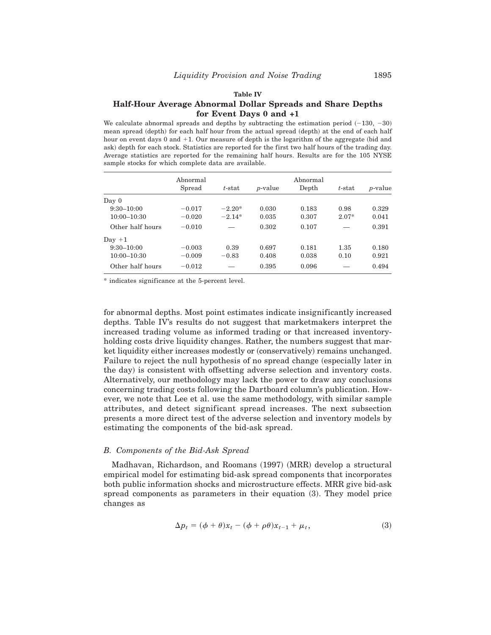#### **Table IV**

# **Half-Hour Average Abnormal Dollar Spreads and Share Depths for Event Days 0 and +1**

We calculate abnormal spreads and depths by subtracting the estimation period  $(-130, -30)$ mean spread (depth) for each half hour from the actual spread (depth) at the end of each half hour on event days  $0$  and  $+1$ . Our measure of depth is the logarithm of the aggregate (bid and ask) depth for each stock. Statistics are reported for the first two half hours of the trading day. Average statistics are reported for the remaining half hours. Results are for the 105 NYSE sample stocks for which complete data are available.

|                  | Abnormal<br>Spread | $t$ -stat | <i>p</i> -value | Abnormal<br>Depth | $t$ -stat | <i>p</i> -value |
|------------------|--------------------|-----------|-----------------|-------------------|-----------|-----------------|
| Day 0            |                    |           |                 |                   |           |                 |
| $9:30-10:00$     | $-0.017$           | $-2.20*$  | 0.030           | 0.183             | 0.98      | 0.329           |
| $10:00 - 10:30$  | $-0.020$           | $-2.14*$  | 0.035           | 0.307             | $2.07*$   | 0.041           |
| Other half hours | $-0.010$           |           | 0.302           | 0.107             |           | 0.391           |
| $Day +1$         |                    |           |                 |                   |           |                 |
| $9:30-10:00$     | $-0.003$           | 0.39      | 0.697           | 0.181             | 1.35      | 0.180           |
| $10:00 - 10:30$  | $-0.009$           | $-0.83$   | 0.408           | 0.038             | 0.10      | 0.921           |
| Other half hours | $-0.012$           |           | 0.395           | 0.096             |           | 0.494           |

\* indicates significance at the 5-percent level.

for abnormal depths. Most point estimates indicate insignificantly increased depths. Table IV's results do not suggest that marketmakers interpret the increased trading volume as informed trading or that increased inventoryholding costs drive liquidity changes. Rather, the numbers suggest that market liquidity either increases modestly or (conservatively) remains unchanged. Failure to reject the null hypothesis of no spread change (especially later in the day) is consistent with offsetting adverse selection and inventory costs. Alternatively, our methodology may lack the power to draw any conclusions concerning trading costs following the Dartboard column's publication. However, we note that Lee et al. use the same methodology, with similar sample attributes, and detect significant spread increases. The next subsection presents a more direct test of the adverse selection and inventory models by estimating the components of the bid-ask spread.

## *B. Components of the Bid-Ask Spread*

Madhavan, Richardson, and Roomans (1997) (MRR) develop a structural empirical model for estimating bid-ask spread components that incorporates both public information shocks and microstructure effects. MRR give bid-ask spread components as parameters in their equation  $(3)$ . They model price changes as

$$
\Delta p_t = (\phi + \theta)x_t - (\phi + \rho\theta)x_{t-1} + \mu_t,\tag{3}
$$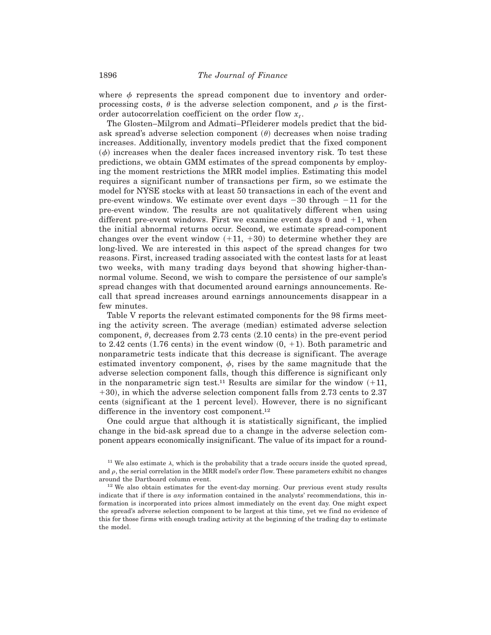where  $\phi$  represents the spread component due to inventory and orderprocessing costs,  $\theta$  is the adverse selection component, and  $\rho$  is the firstorder autocorrelation coefficient on the order flow  $x_t$ .

The Glosten–Milgrom and Admati–Pfleiderer models predict that the bidask spread's adverse selection component  $(\theta)$  decreases when noise trading increases. Additionally, inventory models predict that the fixed component  $(\phi)$  increases when the dealer faces increased inventory risk. To test these predictions, we obtain GMM estimates of the spread components by employing the moment restrictions the MRR model implies. Estimating this model requires a significant number of transactions per firm, so we estimate the model for NYSE stocks with at least 50 transactions in each of the event and pre-event windows. We estimate over event days  $-30$  through  $-11$  for the pre-event window. The results are not qualitatively different when using different pre-event windows. First we examine event days 0 and  $+1$ , when the initial abnormal returns occur. Second, we estimate spread-component changes over the event window  $(+11, +30)$  to determine whether they are long-lived. We are interested in this aspect of the spread changes for two reasons. First, increased trading associated with the contest lasts for at least two weeks, with many trading days beyond that showing higher-thannormal volume. Second, we wish to compare the persistence of our sample's spread changes with that documented around earnings announcements. Recall that spread increases around earnings announcements disappear in a few minutes.

Table V reports the relevant estimated components for the 98 firms meeting the activity screen. The average (median) estimated adverse selection component,  $\theta$ , decreases from 2.73 cents (2.10 cents) in the pre-event period to 2.42 cents  $(1.76 \text{ cents})$  in the event window  $(0, +1)$ . Both parametric and nonparametric tests indicate that this decrease is significant. The average estimated inventory component,  $\phi$ , rises by the same magnitude that the adverse selection component falls, though this difference is significant only in the nonparametric sign test.<sup>11</sup> Results are similar for the window  $(+11, 11)$  $+30$ , in which the adverse selection component falls from 2.73 cents to 2.37 cents (significant at the 1 percent level). However, there is no significant difference in the inventory cost component.<sup>12</sup>

One could argue that although it is statistically significant, the implied change in the bid-ask spread due to a change in the adverse selection component appears economically insignificant. The value of its impact for a round-

<sup>11</sup> We also estimate  $\lambda$ , which is the probability that a trade occurs inside the quoted spread, and  $\rho$ , the serial correlation in the MRR model's order flow. These parameters exhibit no changes around the Dartboard column event.

 $12$  We also obtain estimates for the event-day morning. Our previous event study results indicate that if there is *any* information contained in the analysts' recommendations, this information is incorporated into prices almost immediately on the event day. One might expect the spread's adverse selection component to be largest at this time, yet we find no evidence of this for those firms with enough trading activity at the beginning of the trading day to estimate the model.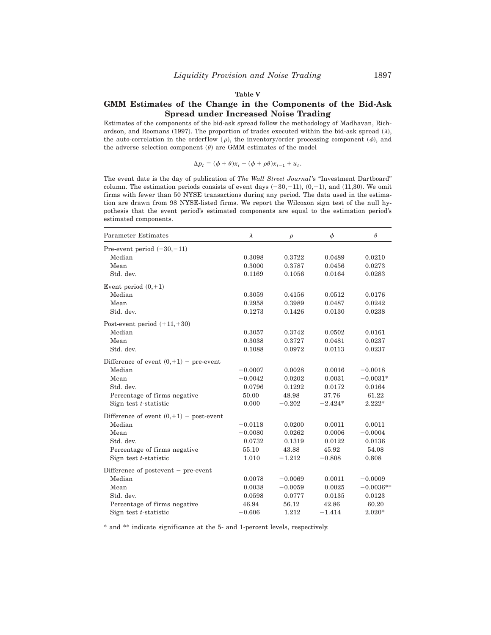#### **Table V**

# **GMM Estimates of the Change in the Components of the Bid-Ask Spread under Increased Noise Trading**

Estimates of the components of the bid-ask spread follow the methodology of Madhavan, Richardson, and Roomans (1997). The proportion of trades executed within the bid-ask spread  $(\lambda)$ , the auto-correlation in the orderflow  $(\rho)$ , the inventory/order processing component  $(\phi)$ , and the adverse selection component  $(\theta)$  are GMM estimates of the model

$$
\Delta p_t = (\phi + \theta)x_t - (\phi + \rho\theta)x_{t-1} + u_t.
$$

The event date is the day of publication of *The Wall Street Journal*'s "Investment Dartboard" column. The estimation periods consists of event days  $(-30,-11)$ ,  $(0, +1)$ , and  $(11,30)$ . We omit firms with fewer than 50 NYSE transactions during any period. The data used in the estimation are drawn from 98 NYSE-listed firms. We report the Wilcoxon sign test of the null hypothesis that the event period's estimated components are equal to the estimation period's estimated components.

| <b>Parameter Estimates</b>                 | $\lambda$ | $\rho$    | $\phi$    | $\theta$    |
|--------------------------------------------|-----------|-----------|-----------|-------------|
| Pre-event period $(-30,-11)$               |           |           |           |             |
| Median                                     | 0.3098    | 0.3722    | 0.0489    | 0.0210      |
| Mean                                       | 0.3000    | 0.3787    | 0.0456    | 0.0273      |
| Std. dev.                                  | 0.1169    | 0.1056    | 0.0164    | 0.0283      |
| Event period $(0, +1)$                     |           |           |           |             |
| Median                                     | 0.3059    | 0.4156    | 0.0512    | 0.0176      |
| Mean                                       | 0.2958    | 0.3989    | 0.0487    | 0.0242      |
| Std. dev.                                  | 0.1273    | 0.1426    | 0.0130    | 0.0238      |
| Post-event period $(+11,+30)$              |           |           |           |             |
| Median                                     | 0.3057    | 0.3742    | 0.0502    | 0.0161      |
| Mean                                       | 0.3038    | 0.3727    | 0.0481    | 0.0237      |
| Std. dev.                                  | 0.1088    | 0.0972    | 0.0113    | 0.0237      |
| Difference of event $(0, +1)$ – pre-event  |           |           |           |             |
| Median                                     | $-0.0007$ | 0.0028    | 0.0016    | $-0.0018$   |
| Mean                                       | $-0.0042$ | 0.0202    | 0.0031    | $-0.0031*$  |
| Std. dev.                                  | 0.0796    | 0.1292    | 0.0172    | 0.0164      |
| Percentage of firms negative               | 50.00     | 48.98     | 37.76     | 61.22       |
| Sign test $t$ -statistic                   | 0.000     | $-0.202$  | $-2.424*$ | $2.222*$    |
| Difference of event $(0, +1)$ – post-event |           |           |           |             |
| Median                                     | $-0.0118$ | 0.0200    | 0.0011    | 0.0011      |
| Mean                                       | $-0.0080$ | 0.0262    | 0.0006    | $-0.0004$   |
| Std. dev.                                  | 0.0732    | 0.1319    | 0.0122    | 0.0136      |
| Percentage of firms negative               | 55.10     | 43.88     | 45.92     | 54.08       |
| Sign test $t$ -statistic                   | 1.010     | $-1.212$  | $-0.808$  | 0.808       |
| Difference of postevent $-$ pre-event      |           |           |           |             |
| Median                                     | 0.0078    | $-0.0069$ | 0.0011    | $-0.0009$   |
| Mean                                       | 0.0038    | $-0.0059$ | 0.0025    | $-0.0036**$ |
| Std. dev.                                  | 0.0598    | 0.0777    | 0.0135    | 0.0123      |
| Percentage of firms negative               | 46.94     | 56.12     | 42.86     | 60.20       |
| Sign test $t$ -statistic                   | $-0.606$  | 1.212     | $-1.414$  | 2.020*      |

\* and \*\* indicate significance at the 5- and 1-percent levels, respectively.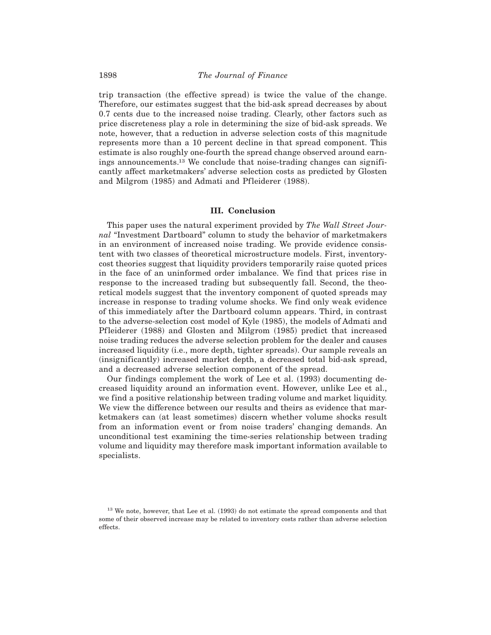trip transaction (the effective spread) is twice the value of the change. Therefore, our estimates suggest that the bid-ask spread decreases by about 0.7 cents due to the increased noise trading. Clearly, other factors such as price discreteness play a role in determining the size of bid-ask spreads. We note, however, that a reduction in adverse selection costs of this magnitude represents more than a 10 percent decline in that spread component. This estimate is also roughly one-fourth the spread change observed around earnings announcements.13 We conclude that noise-trading changes can significantly affect marketmakers' adverse selection costs as predicted by Glosten and Milgrom (1985) and Admati and Pfleiderer (1988).

# **III. Conclusion**

This paper uses the natural experiment provided by *The Wall Street Journal* "Investment Dartboard" column to study the behavior of marketmakers in an environment of increased noise trading. We provide evidence consistent with two classes of theoretical microstructure models. First, inventorycost theories suggest that liquidity providers temporarily raise quoted prices in the face of an uninformed order imbalance. We find that prices rise in response to the increased trading but subsequently fall. Second, the theoretical models suggest that the inventory component of quoted spreads may increase in response to trading volume shocks. We find only weak evidence of this immediately after the Dartboard column appears. Third, in contrast to the adverse-selection cost model of Kyle (1985), the models of Admati and Pfleiderer (1988) and Glosten and Milgrom (1985) predict that increased noise trading reduces the adverse selection problem for the dealer and causes increased liquidity (i.e., more depth, tighter spreads). Our sample reveals an (insignificantly) increased market depth, a decreased total bid-ask spread, and a decreased adverse selection component of the spread.

Our findings complement the work of Lee et al.  $(1993)$  documenting decreased liquidity around an information event. However, unlike Lee et al., we find a positive relationship between trading volume and market liquidity. We view the difference between our results and theirs as evidence that marketmakers can (at least sometimes) discern whether volume shocks result from an information event or from noise traders' changing demands. An unconditional test examining the time-series relationship between trading volume and liquidity may therefore mask important information available to specialists.

 $13$  We note, however, that Lee et al.  $(1993)$  do not estimate the spread components and that some of their observed increase may be related to inventory costs rather than adverse selection effects.